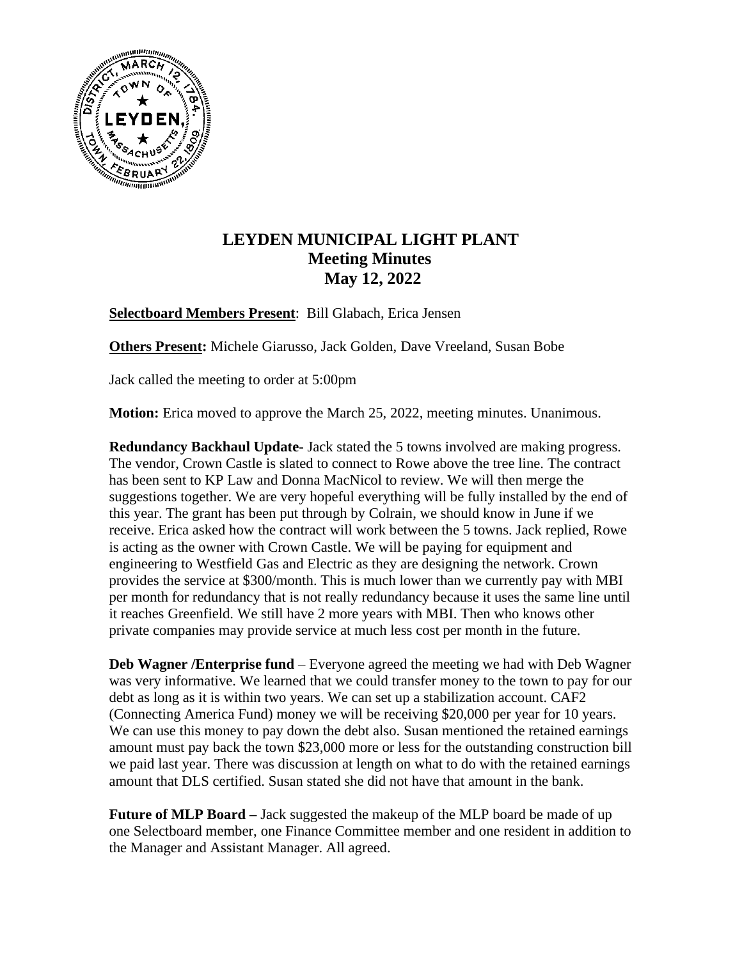

## **LEYDEN MUNICIPAL LIGHT PLANT Meeting Minutes May 12, 2022**

**Selectboard Members Present**: Bill Glabach, Erica Jensen

**Others Present:** Michele Giarusso, Jack Golden, Dave Vreeland, Susan Bobe

Jack called the meeting to order at 5:00pm

**Motion:** Erica moved to approve the March 25, 2022, meeting minutes. Unanimous.

**Redundancy Backhaul Update-** Jack stated the 5 towns involved are making progress. The vendor, Crown Castle is slated to connect to Rowe above the tree line. The contract has been sent to KP Law and Donna MacNicol to review. We will then merge the suggestions together. We are very hopeful everything will be fully installed by the end of this year. The grant has been put through by Colrain, we should know in June if we receive. Erica asked how the contract will work between the 5 towns. Jack replied, Rowe is acting as the owner with Crown Castle. We will be paying for equipment and engineering to Westfield Gas and Electric as they are designing the network. Crown provides the service at \$300/month. This is much lower than we currently pay with MBI per month for redundancy that is not really redundancy because it uses the same line until it reaches Greenfield. We still have 2 more years with MBI. Then who knows other private companies may provide service at much less cost per month in the future.

**Deb Wagner /Enterprise fund** – Everyone agreed the meeting we had with Deb Wagner was very informative. We learned that we could transfer money to the town to pay for our debt as long as it is within two years. We can set up a stabilization account. CAF2 (Connecting America Fund) money we will be receiving \$20,000 per year for 10 years. We can use this money to pay down the debt also. Susan mentioned the retained earnings amount must pay back the town \$23,000 more or less for the outstanding construction bill we paid last year. There was discussion at length on what to do with the retained earnings amount that DLS certified. Susan stated she did not have that amount in the bank.

**Future of MLP Board –** Jack suggested the makeup of the MLP board be made of up one Selectboard member, one Finance Committee member and one resident in addition to the Manager and Assistant Manager. All agreed.